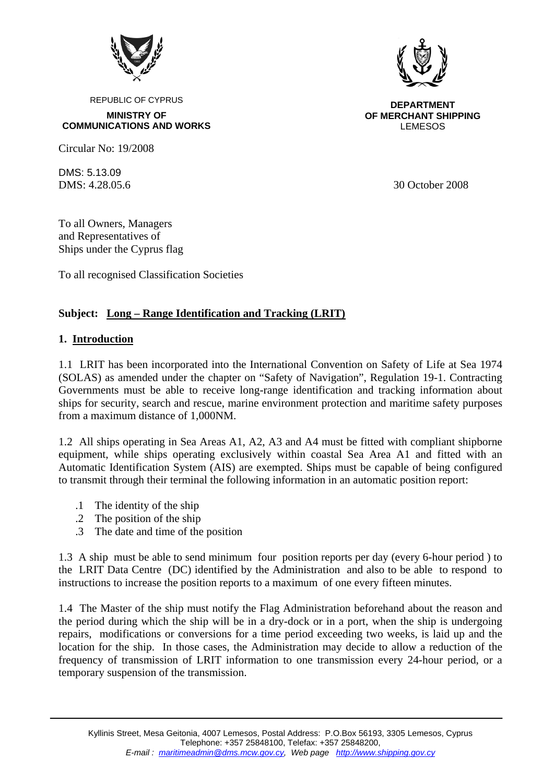

REPUBLIC OF CYPRUS

**MINISTRY OF COMMUNICATIONS AND WORKS** 

Circular No: 19/2008

DMS: 5.13.09

**DEPARTMENT OF MERCHANT SHIPPING** LEMESOS

DMS: 4.28.05.6 30 October 2008

To all Owners, Managers and Representatives of Ships under the Cyprus flag

To all recognised Classification Societies

### **Subject: Long – Range Identification and Tracking (LRIT)**

#### **1. Introduction**

1.1 LRIT has been incorporated into the International Convention on Safety of Life at Sea 1974 (SOLAS) as amended under the chapter on "Safety of Navigation", Regulation 19-1. Contracting Governments must be able to receive long-range identification and tracking information about ships for security, search and rescue, marine environment protection and maritime safety purposes from a maximum distance of 1,000NM.

1.2 All ships operating in Sea Areas A1, A2, A3 and A4 must be fitted with compliant shipborne equipment, while ships operating exclusively within coastal Sea Area A1 and fitted with an Automatic Identification System (AIS) are exempted. Ships must be capable of being configured to transmit through their terminal the following information in an automatic position report:

- .1 The identity of the ship
- .2 The position of the ship
- .3 The date and time of the position

1.3 A ship must be able to send minimum four position reports per day (every 6-hour period ) to the LRIT Data Centre (DC) identified by the Administration and also to be able to respond to instructions to increase the position reports to a maximum of one every fifteen minutes.

1.4 The Master of the ship must notify the Flag Administration beforehand about the reason and the period during which the ship will be in a dry-dock or in a port, when the ship is undergoing repairs, modifications or conversions for a time period exceeding two weeks, is laid up and the location for the ship. In those cases, the Administration may decide to allow a reduction of the frequency of transmission of LRIT information to one transmission every 24-hour period, or a temporary suspension of the transmission.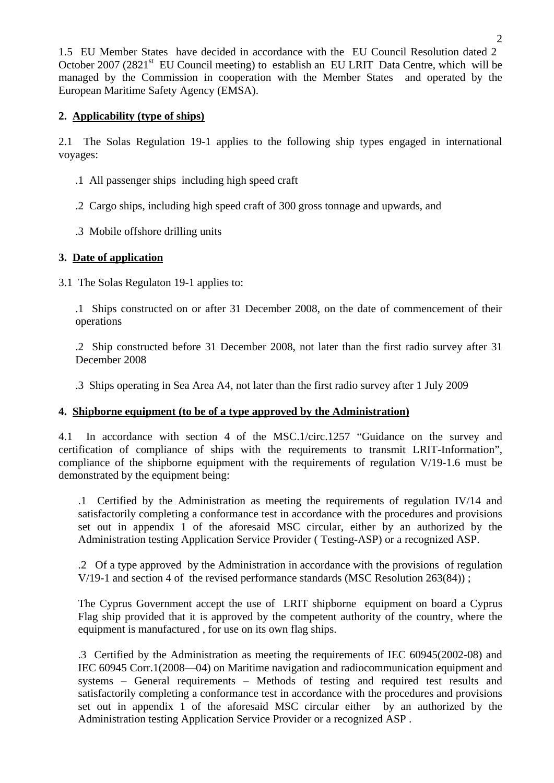1.5 EU Member States have decided in accordance with the EU Council Resolution dated 2 October 2007 (2821 $^{\rm st}$  EU Council meeting) to establish an EU LRIT Data Centre, which will be managed by the Commission in cooperation with the Member States and operated by the European Maritime Safety Agency (EMSA).

## **2. Applicability (type of ships)**

2.1 The Solas Regulation 19-1 applies to the following ship types engaged in international voyages:

- .1 All passenger ships including high speed craft
- .2 Cargo ships, including high speed craft of 300 gross tonnage and upwards, and
- .3 Mobile offshore drilling units

## **3. Date of application**

3.1 The Solas Regulaton 19-1 applies to:

.1 Ships constructed on or after 31 December 2008, on the date of commencement of their operations

.2 Ship constructed before 31 December 2008, not later than the first radio survey after 31 December 2008

.3 Ships operating in Sea Area A4, not later than the first radio survey after 1 July 2009

# **4. Shipborne equipment (to be of a type approved by the Administration)**

4.1 In accordance with section 4 of the MSC.1/circ.1257 "Guidance on the survey and certification of compliance of ships with the requirements to transmit LRIT-Information", compliance of the shipborne equipment with the requirements of regulation V/19-1.6 must be demonstrated by the equipment being:

.1 Certified by the Administration as meeting the requirements of regulation IV/14 and satisfactorily completing a conformance test in accordance with the procedures and provisions set out in appendix 1 of the aforesaid MSC circular, either by an authorized by the Administration testing Application Service Provider ( Testing-ASP) or a recognized ASP.

.2 Of a type approved by the Administration in accordance with the provisions of regulation V/19-1 and section 4 of the revised performance standards (MSC Resolution 263(84)) ;

The Cyprus Government accept the use of LRIT shipborne equipment on board a Cyprus Flag ship provided that it is approved by the competent authority of the country, where the equipment is manufactured , for use on its own flag ships.

.3 Certified by the Administration as meeting the requirements of IEC 60945(2002-08) and IEC 60945 Corr.1(2008—04) on Maritime navigation and radiocommunication equipment and systems – General requirements – Methods of testing and required test results and satisfactorily completing a conformance test in accordance with the procedures and provisions set out in appendix 1 of the aforesaid MSC circular either by an authorized by the Administration testing Application Service Provider or a recognized ASP .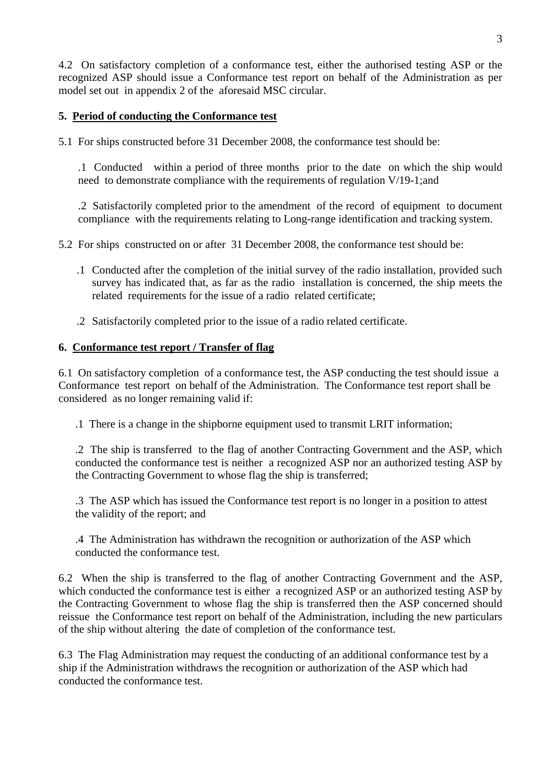4.2 On satisfactory completion of a conformance test, either the authorised testing ASP or the recognized ASP should issue a Conformance test report on behalf of the Administration as per model set out in appendix 2 of the aforesaid MSC circular.

#### **5. Period of conducting the Conformance test**

5.1 For ships constructed before 31 December 2008, the conformance test should be:

.1 Conducted within a period of three months prior to the date on which the ship would need to demonstrate compliance with the requirements of regulation V/19-1;and

.2 Satisfactorily completed prior to the amendment of the record of equipment to document compliance with the requirements relating to Long-range identification and tracking system.

- 5.2 For ships constructed on or after 31 December 2008, the conformance test should be:
	- .1 Conducted after the completion of the initial survey of the radio installation, provided such survey has indicated that, as far as the radio installation is concerned, the ship meets the related requirements for the issue of a radio related certificate;
	- .2 Satisfactorily completed prior to the issue of a radio related certificate.

#### **6. Conformance test report / Transfer of flag**

6.1 On satisfactory completion of a conformance test, the ASP conducting the test should issue a Conformance test report on behalf of the Administration. The Conformance test report shall be considered as no longer remaining valid if:

.1 There is a change in the shipborne equipment used to transmit LRIT information;

.2 The ship is transferred to the flag of another Contracting Government and the ASP, which conducted the conformance test is neither a recognized ASP nor an authorized testing ASP by the Contracting Government to whose flag the ship is transferred;

.3 The ASP which has issued the Conformance test report is no longer in a position to attest the validity of the report; and

.4 The Administration has withdrawn the recognition or authorization of the ASP which conducted the conformance test.

6.2 When the ship is transferred to the flag of another Contracting Government and the ASP, which conducted the conformance test is either a recognized ASP or an authorized testing ASP by the Contracting Government to whose flag the ship is transferred then the ASP concerned should reissue the Conformance test report on behalf of the Administration, including the new particulars of the ship without altering the date of completion of the conformance test.

6.3 The Flag Administration may request the conducting of an additional conformance test by a ship if the Administration withdraws the recognition or authorization of the ASP which had conducted the conformance test.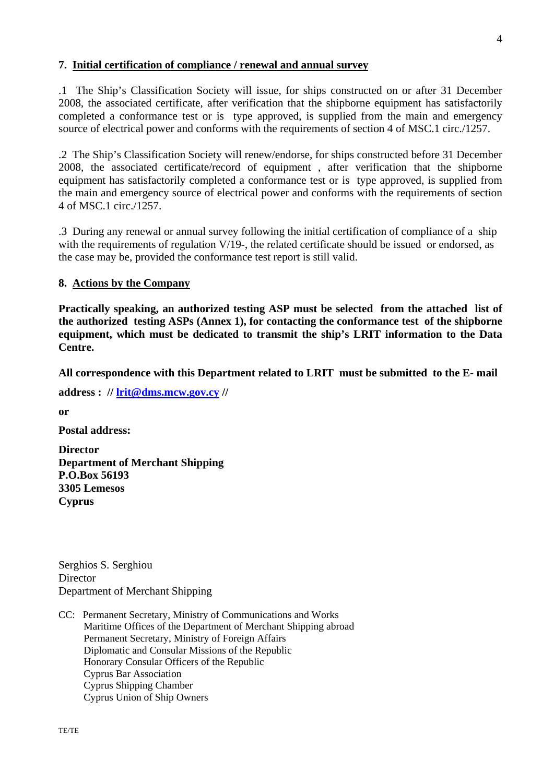#### **7. Initial certification of compliance / renewal and annual survey**

.1 The Ship's Classification Society will issue, for ships constructed on or after 31 December 2008, the associated certificate, after verification that the shipborne equipment has satisfactorily completed a conformance test or is type approved, is supplied from the main and emergency source of electrical power and conforms with the requirements of section 4 of MSC.1 circ./1257.

.2 The Ship's Classification Society will renew/endorse, for ships constructed before 31 December 2008, the associated certificate/record of equipment , after verification that the shipborne equipment has satisfactorily completed a conformance test or is type approved, is supplied from the main and emergency source of electrical power and conforms with the requirements of section 4 of MSC.1 circ./1257.

.3 During any renewal or annual survey following the initial certification of compliance of a ship with the requirements of regulation V/19-, the related certificate should be issued or endorsed, as the case may be, provided the conformance test report is still valid.

#### **8. Actions by the Company**

**Practically speaking, an authorized testing ASP must be selected from the attached list of the authorized testing ASPs (Annex 1), for contacting the conformance test of the shipborne equipment, which must be dedicated to transmit the ship's LRIT information to the Data Centre.** 

**All correspondence with this Department related to LRIT must be submitted to the E- mail** 

**address : // lrit@dms.mcw.gov.cy //** 

**or** 

**Postal address:** 

**Director Department of Merchant Shipping P.O.Box 56193 3305 Lemesos Cyprus** 

Serghios S. Serghiou **Director** Department of Merchant Shipping

CC: Permanent Secretary, Ministry of Communications and Works Maritime Offices of the Department of Merchant Shipping abroad Permanent Secretary, Ministry of Foreign Affairs Diplomatic and Consular Missions of the Republic Honorary Consular Officers of the Republic Cyprus Bar Association Cyprus Shipping Chamber Cyprus Union of Ship Owners